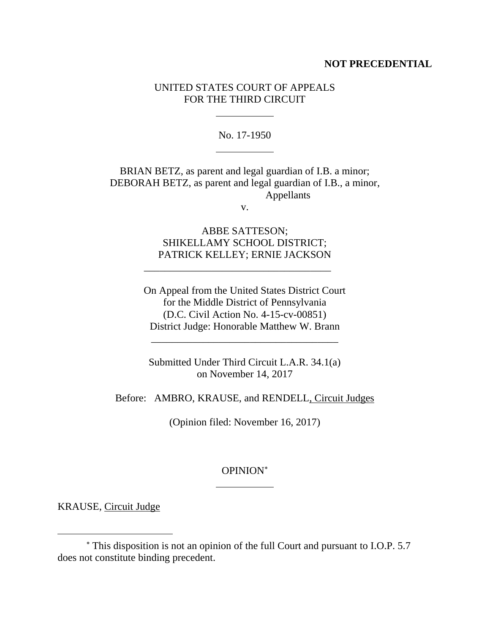## **NOT PRECEDENTIAL**

# UNITED STATES COURT OF APPEALS FOR THE THIRD CIRCUIT

No. 17-1950

BRIAN BETZ, as parent and legal guardian of I.B. a minor; DEBORAH BETZ, as parent and legal guardian of I.B., a minor, Appellants

v.

ABBE SATTESON; SHIKELLAMY SCHOOL DISTRICT; PATRICK KELLEY; ERNIE JACKSON

\_\_\_\_\_\_\_\_\_\_\_\_\_\_\_\_\_\_\_\_\_\_\_\_\_\_\_\_\_\_\_\_\_\_\_\_

On Appeal from the United States District Court for the Middle District of Pennsylvania (D.C. Civil Action No. 4-15-cv-00851) District Judge: Honorable Matthew W. Brann

Submitted Under Third Circuit L.A.R. 34.1(a) on November 14, 2017

\_\_\_\_\_\_\_\_\_\_\_\_\_\_\_\_\_\_\_\_\_\_\_\_\_\_\_\_\_\_\_\_\_\_\_\_

Before: AMBRO, KRAUSE, and RENDELL, Circuit Judges

(Opinion filed: November 16, 2017)

## OPINION

KRAUSE, Circuit Judge

 $\overline{a}$ 

This disposition is not an opinion of the full Court and pursuant to I.O.P. 5.7 does not constitute binding precedent.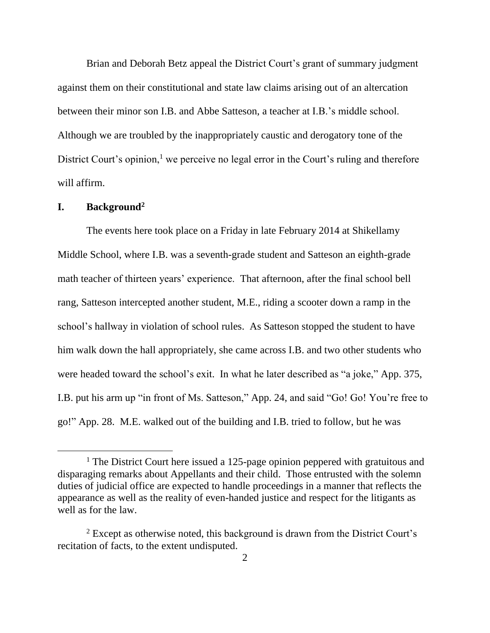Brian and Deborah Betz appeal the District Court's grant of summary judgment against them on their constitutional and state law claims arising out of an altercation between their minor son I.B. and Abbe Satteson, a teacher at I.B.'s middle school. Although we are troubled by the inappropriately caustic and derogatory tone of the District Court's opinion,<sup>1</sup> we perceive no legal error in the Court's ruling and therefore will affirm.

## **I. Background<sup>2</sup>**

 $\overline{a}$ 

The events here took place on a Friday in late February 2014 at Shikellamy Middle School, where I.B. was a seventh-grade student and Satteson an eighth-grade math teacher of thirteen years' experience. That afternoon, after the final school bell rang, Satteson intercepted another student, M.E., riding a scooter down a ramp in the school's hallway in violation of school rules. As Satteson stopped the student to have him walk down the hall appropriately, she came across I.B. and two other students who were headed toward the school's exit. In what he later described as "a joke," App. 375, I.B. put his arm up "in front of Ms. Satteson," App. 24, and said "Go! Go! You're free to go!" App. 28. M.E. walked out of the building and I.B. tried to follow, but he was

<sup>&</sup>lt;sup>1</sup> The District Court here issued a 125-page opinion peppered with gratuitous and disparaging remarks about Appellants and their child. Those entrusted with the solemn duties of judicial office are expected to handle proceedings in a manner that reflects the appearance as well as the reality of even-handed justice and respect for the litigants as well as for the law.

<sup>&</sup>lt;sup>2</sup> Except as otherwise noted, this background is drawn from the District Court's recitation of facts, to the extent undisputed.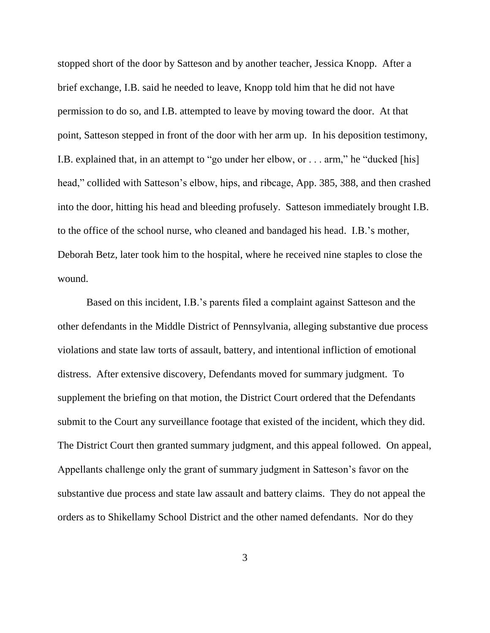stopped short of the door by Satteson and by another teacher, Jessica Knopp. After a brief exchange, I.B. said he needed to leave, Knopp told him that he did not have permission to do so, and I.B. attempted to leave by moving toward the door. At that point, Satteson stepped in front of the door with her arm up.In his deposition testimony, I.B. explained that, in an attempt to "go under her elbow, or . . . arm," he "ducked [his] head," collided with Satteson's elbow, hips, and ribcage, App. 385, 388, and then crashed into the door, hitting his head and bleeding profusely. Satteson immediately brought I.B. to the office of the school nurse, who cleaned and bandaged his head.I.B.'s mother, Deborah Betz, later took him to the hospital, where he received nine staples to close the wound.

Based on this incident, I.B.'s parents filed a complaint against Satteson and the other defendants in the Middle District of Pennsylvania, alleging substantive due process violations and state law torts of assault, battery, and intentional infliction of emotional distress. After extensive discovery, Defendants moved for summary judgment. To supplement the briefing on that motion, the District Court ordered that the Defendants submit to the Court any surveillance footage that existed of the incident, which they did. The District Court then granted summary judgment, and this appeal followed. On appeal, Appellants challenge only the grant of summary judgment in Satteson's favor on the substantive due process and state law assault and battery claims. They do not appeal the orders as to Shikellamy School District and the other named defendants. Nor do they

3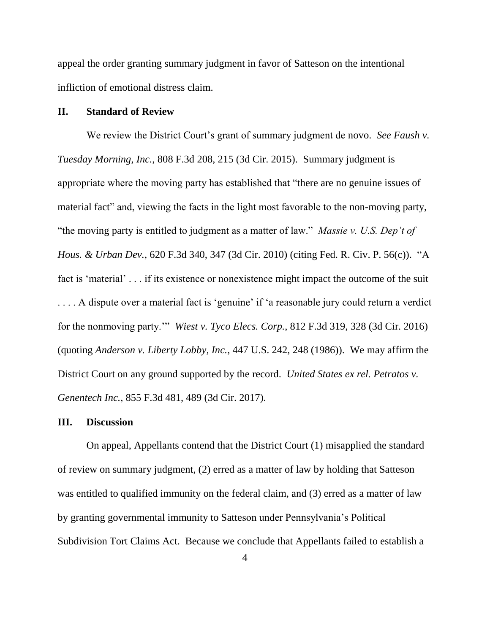appeal the order granting summary judgment in favor of Satteson on the intentional infliction of emotional distress claim.

#### **II. Standard of Review**

We review the District Court's grant of summary judgment de novo. *See Faush v. Tuesday Morning, Inc.*, 808 F.3d 208, 215 (3d Cir. 2015). Summary judgment is appropriate where the moving party has established that "there are no genuine issues of material fact" and, viewing the facts in the light most favorable to the non-moving party, "the moving party is entitled to judgment as a matter of law." *Massie v. U.S. Dep't of Hous. & Urban Dev.*, 620 F.3d 340, 347 (3d Cir. 2010) (citing Fed. R. Civ. P. 56(c)). "A fact is 'material' . . . if its existence or nonexistence might impact the outcome of the suit . . . . A dispute over a material fact is 'genuine' if 'a reasonable jury could return a verdict for the nonmoving party.'" *Wiest v. Tyco Elecs. Corp.*, 812 F.3d 319, 328 (3d Cir. 2016) (quoting *Anderson v. Liberty Lobby, Inc.*, 447 U.S. 242, 248 (1986)). We may affirm the District Court on any ground supported by the record. *United States ex rel. Petratos v. Genentech Inc.*, 855 F.3d 481, 489 (3d Cir. 2017).

## **III. Discussion**

On appeal, Appellants contend that the District Court (1) misapplied the standard of review on summary judgment, (2) erred as a matter of law by holding that Satteson was entitled to qualified immunity on the federal claim, and (3) erred as a matter of law by granting governmental immunity to Satteson under Pennsylvania's Political Subdivision Tort Claims Act. Because we conclude that Appellants failed to establish a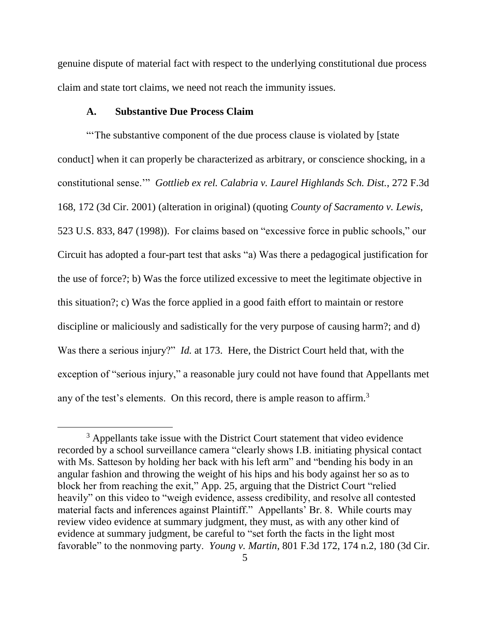genuine dispute of material fact with respect to the underlying constitutional due process claim and state tort claims, we need not reach the immunity issues.

## **A. Substantive Due Process Claim**

"The substantive component of the due process clause is violated by [state] conduct] when it can properly be characterized as arbitrary, or conscience shocking, in a constitutional sense.'" *Gottlieb ex rel. Calabria v. Laurel Highlands Sch. Dist.*, 272 F.3d 168, 172 (3d Cir. 2001) (alteration in original) (quoting *County of Sacramento v. Lewis*, 523 U.S. 833, 847 (1998)). For claims based on "excessive force in public schools," our Circuit has adopted a four-part test that asks "a) Was there a pedagogical justification for the use of force?; b) Was the force utilized excessive to meet the legitimate objective in this situation?; c) Was the force applied in a good faith effort to maintain or restore discipline or maliciously and sadistically for the very purpose of causing harm?; and d) Was there a serious injury?" *Id.* at 173. Here, the District Court held that, with the exception of "serious injury," a reasonable jury could not have found that Appellants met any of the test's elements. On this record, there is ample reason to affirm.<sup>3</sup>

<sup>&</sup>lt;sup>3</sup> Appellants take issue with the District Court statement that video evidence recorded by a school surveillance camera "clearly shows I.B. initiating physical contact with Ms. Satteson by holding her back with his left arm" and "bending his body in an angular fashion and throwing the weight of his hips and his body against her so as to block her from reaching the exit," App. 25, arguing that the District Court "relied heavily" on this video to "weigh evidence, assess credibility, and resolve all contested material facts and inferences against Plaintiff." Appellants' Br. 8. While courts may review video evidence at summary judgment, they must, as with any other kind of evidence at summary judgment, be careful to "set forth the facts in the light most favorable" to the nonmoving party. *Young v. Martin*, 801 F.3d 172, 174 n.2, 180 (3d Cir.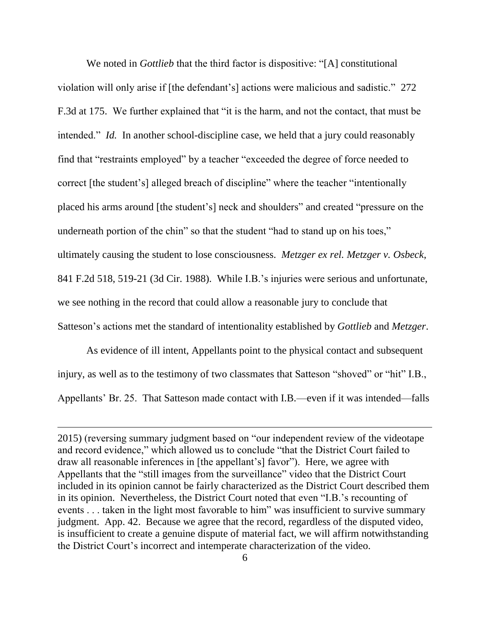We noted in *Gottlieb* that the third factor is dispositive: "[A] constitutional violation will only arise if [the defendant's] actions were malicious and sadistic." 272 F.3d at 175. We further explained that "it is the harm, and not the contact, that must be intended." *Id.* In another school-discipline case, we held that a jury could reasonably find that "restraints employed" by a teacher "exceeded the degree of force needed to correct [the student's] alleged breach of discipline" where the teacher "intentionally placed his arms around [the student's] neck and shoulders" and created "pressure on the underneath portion of the chin" so that the student "had to stand up on his toes," ultimately causing the student to lose consciousness. *Metzger ex rel. Metzger v. Osbeck*, 841 F.2d 518, 519-21 (3d Cir. 1988). While I.B.'s injuries were serious and unfortunate, we see nothing in the record that could allow a reasonable jury to conclude that Satteson's actions met the standard of intentionality established by *Gottlieb* and *Metzger*.

As evidence of ill intent, Appellants point to the physical contact and subsequent injury, as well as to the testimony of two classmates that Satteson "shoved" or "hit" I.B., Appellants' Br. 25. That Satteson made contact with I.B.—even if it was intended—falls

<sup>2015)</sup> (reversing summary judgment based on "our independent review of the videotape and record evidence," which allowed us to conclude "that the District Court failed to draw all reasonable inferences in [the appellant's] favor"). Here, we agree with Appellants that the "still images from the surveillance" video that the District Court included in its opinion cannot be fairly characterized as the District Court described them in its opinion. Nevertheless, the District Court noted that even "I.B.'s recounting of events . . . taken in the light most favorable to him" was insufficient to survive summary judgment. App. 42. Because we agree that the record, regardless of the disputed video, is insufficient to create a genuine dispute of material fact, we will affirm notwithstanding the District Court's incorrect and intemperate characterization of the video.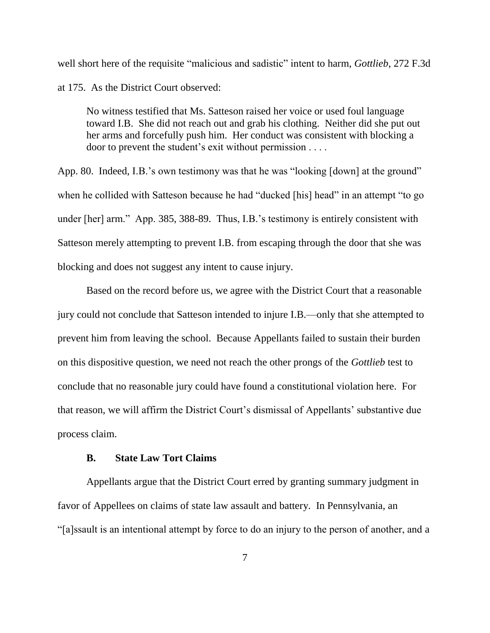well short here of the requisite "malicious and sadistic" intent to harm, *Gottlieb*, 272 F.3d at 175. As the District Court observed:

No witness testified that Ms. Satteson raised her voice or used foul language toward I.B. She did not reach out and grab his clothing. Neither did she put out her arms and forcefully push him. Her conduct was consistent with blocking a door to prevent the student's exit without permission . . . .

App. 80. Indeed, I.B.'s own testimony was that he was "looking [down] at the ground" when he collided with Satteson because he had "ducked [his] head" in an attempt "to go under [her] arm." App. 385, 388-89. Thus, I.B.'s testimony is entirely consistent with Satteson merely attempting to prevent I.B. from escaping through the door that she was blocking and does not suggest any intent to cause injury.

Based on the record before us, we agree with the District Court that a reasonable jury could not conclude that Satteson intended to injure I.B.—only that she attempted to prevent him from leaving the school. Because Appellants failed to sustain their burden on this dispositive question, we need not reach the other prongs of the *Gottlieb* test to conclude that no reasonable jury could have found a constitutional violation here. For that reason, we will affirm the District Court's dismissal of Appellants' substantive due process claim.

# **B. State Law Tort Claims**

Appellants argue that the District Court erred by granting summary judgment in favor of Appellees on claims of state law assault and battery. In Pennsylvania, an "[a]ssault is an intentional attempt by force to do an injury to the person of another, and a